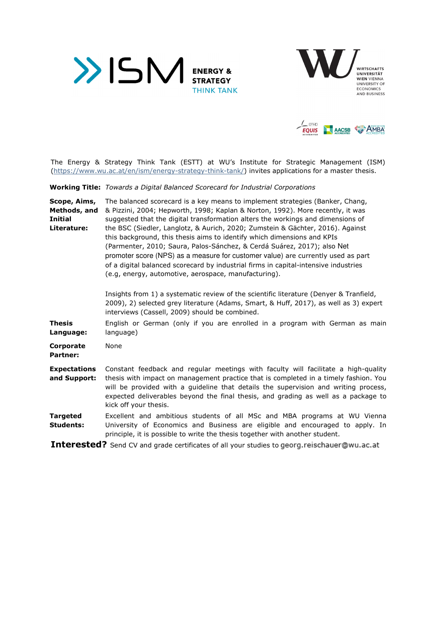





The Energy & Strategy Think Tank (ESTT) at WU's Institute for Strategic Management (ISM) (https://www.wu.ac.at/en/ism/energy-strategy-think-tank/) invites applications for a master thesis.

**Working Title:** *Towards a Digital Balanced Scorecard for Industrial Corporations* 

**Scope, Aims, Methods, and Initial Literature:**  The balanced scorecard is a key means to implement strategies (Banker, Chang, & Pizzini, 2004; Hepworth, 1998; Kaplan & Norton, 1992). More recently, it was suggested that the digital transformation alters the workings and dimensions of the BSC (Siedler, Langlotz, & Aurich, 2020; Zumstein & Gächter, 2016). Against this background, this thesis aims to identify which dimensions and KPIs (Parmenter, 2010; Saura, Palos-Sánchez, & Cerdá Suárez, 2017); also Net promoter score (NPS) as a measure for customer value) are currently used as part of a digital balanced scorecard by industrial firms in capital-intensive industries (e.g, energy, automotive, aerospace, manufacturing).

> Insights from 1) a systematic review of the scientific literature (Denyer & Tranfield, 2009), 2) selected grey literature (Adams, Smart, & Huff, 2017), as well as 3) expert interviews (Cassell, 2009) should be combined.

**Thesis Language:**  English or German (only if you are enrolled in a program with German as main language)

**Corporate Partner:**  None

- **Expectations and Support:**  Constant feedback and regular meetings with faculty will facilitate a high-quality thesis with impact on management practice that is completed in a timely fashion. You will be provided with a guideline that details the supervision and writing process, expected deliverables beyond the final thesis, and grading as well as a package to kick off your thesis.
- **Targeted Students:**  Excellent and ambitious students of all MSc and MBA programs at WU Vienna University of Economics and Business are eligible and encouraged to apply. In principle, it is possible to write the thesis together with another student.

**Interested?** Send CV and grade certificates of all your studies to georg.reischauer@wu.ac.at